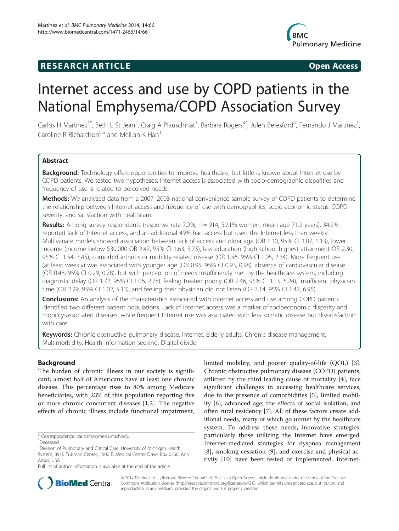# **RESEARCH ARTICLE Example 2018 12:00 Open Access**



# Internet access and use by COPD patients in the National Emphysema/COPD Association Survey

Carlos H Martinez<sup>1\*</sup>, Beth L St Jean<sup>2</sup>, Craig A Plauschinat<sup>3</sup>, Barbara Rogers<sup>4^</sup>, Julen Beresford<sup>4</sup>, Fernando J Martinez<sup>1</sup> , Caroline R Richardson<sup>5,6</sup> and Meil an K Han<sup>1</sup>

# **Abstract**

**Background:** Technology offers opportunities to improve healthcare, but little is known about Internet use by COPD patients. We tested two hypotheses: Internet access is associated with socio-demographic disparities and frequency of use is related to perceived needs.

Methods: We analyzed data from a 2007–2008 national convenience sample survey of COPD patients to determine the relationship between Internet access and frequency of use with demographics, socio-economic status, COPD severity, and satisfaction with healthcare.

Results: Among survey respondents (response rate 7.2%; n = 914, 59.1% women, mean age 71.2 years), 34.2% reported lack of Internet access, and an additional 49% had access but used the Internet less than weekly. Multivariate models showed association between lack of access and older age (OR 1.10, 95% CI 1.07, 1.13), lower income (income below \$30,000 OR 2.47, 95% CI 1.63, 3.73), less education (high school highest attainment OR 2.30, 95% CI 1.54, 3.45), comorbid arthritis or mobility-related disease (OR 1.56, 95% CI 1.05, 2.34). More frequent use (at least weekly) was associated with younger age (OR 0.95, 95% CI 0.93, 0.98), absence of cardiovascular disease (OR 0.48, 95% CI 0.29, 0.78), but with perception of needs insufficiently met by the healthcare system, including diagnostic delay (OR 1.72, 95% CI 1.06, 2.78), feeling treated poorly (OR 2.46, 95% CI 1.15, 5.24), insufficient physician time (OR 2.29, 95% CI 1.02, 5.13), and feeling their physician did not listen (OR 3.14, 95% CI 1.42, 6.95).

**Conclusions:** An analysis of the characteristics associated with Internet access and use among COPD patients identified two different patient populations. Lack of Internet access was a marker of socioeconomic disparity and mobility-associated diseases, while frequent Internet use was associated with less somatic disease but dissatisfaction with care.

Keywords: Chronic obstructive pulmonary disease, Internet, Elderly adults, Chronic disease management, Multimorbidity, Health information seeking, Digital divide

# **Background**

The burden of chronic illness in our society is significant; almost half of Americans have at least one chronic disease. This percentage rises to 80% among Medicare beneficiaries, with 23% of this population reporting five or more chronic concurrent diseases [\[1,2](#page-9-0)]. The negative effects of chronic illness include functional impairment,

limited mobility, and poorer quality-of-life (QOL) [\[3](#page-9-0)]. Chronic obstructive pulmonary disease (COPD) patients, afflicted by the third leading cause of mortality [[4\]](#page-9-0), face significant challenges in accessing healthcare services, due to the presence of comorbidities [\[5](#page-9-0)], limited mobility [[6\]](#page-9-0), advanced age, the effects of social isolation, and often rural residency [[7\]](#page-9-0). All of these factors create additional needs, many of which go unmet by the healthcare system. To address these needs, innovative strategies, particularly those utilizing the Internet have emerged. Internet-mediated strategies for dyspnea management [[8\]](#page-9-0), smoking cessation [\[9](#page-9-0)], and exercise and physical activity [\[10\]](#page-9-0) have been tested or implemented. Internet-



© 2014 Martinez et al.; licensee BioMed Central Ltd. This is an Open Access article distributed under the terms of the Creative Commons Attribution License [\(http://creativecommons.org/licenses/by/2.0\)](http://creativecommons.org/licenses/by/2.0), which permits unrestricted use, distribution, and reproduction in any medium, provided the original work is properly credited.

<sup>\*</sup> Correspondence: [carlosma@med.umich.edu](mailto:carlosma@med.umich.edu) <sup>ˆ</sup>Deceased

<sup>&</sup>lt;sup>1</sup> Division of Pulmonary and Critical Care, University of Michigan Health System, 3916 Tubman Center, 1500 E. Medical Center Drive, Box 0360, Ann Arbor, USA

Full list of author information is available at the end of the article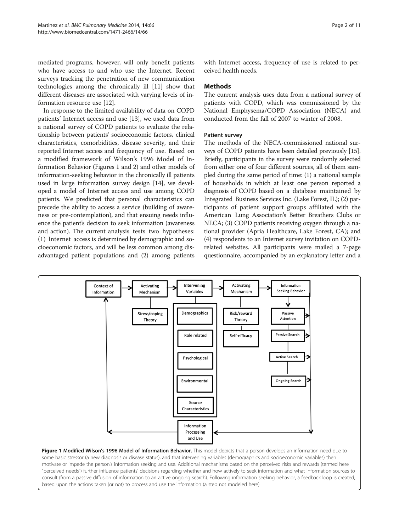<span id="page-1-0"></span>mediated programs, however, will only benefit patients who have access to and who use the Internet. Recent surveys tracking the penetration of new communication technologies among the chronically ill [\[11\]](#page-9-0) show that different diseases are associated with varying levels of information resource use [\[12](#page-9-0)].

In response to the limited availability of data on COPD patients' Internet access and use [\[13\]](#page-9-0), we used data from a national survey of COPD patients to evaluate the relationship between patients' socioeconomic factors, clinical characteristics, comorbidities, disease severity, and their reported Internet access and frequency of use. Based on a modified framework of Wilson's 1996 Model of Information Behavior (Figures 1 and [2\)](#page-2-0) and other models of information-seeking behavior in the chronically ill patients used in large information survey design [\[14\]](#page-9-0), we developed a model of Internet access and use among COPD patients. We predicted that personal characteristics can precede the ability to access a service (building of awareness or pre-contemplation), and that ensuing needs influence the patient's decision to seek information (awareness and action). The current analysis tests two hypotheses: (1) Internet access is determined by demographic and socioeconomic factors, and will be less common among disadvantaged patient populations and (2) among patients

with Internet access, frequency of use is related to perceived health needs.

# **Methods**

The current analysis uses data from a national survey of patients with COPD, which was commissioned by the National Emphysema/COPD Association (NECA) and conducted from the fall of 2007 to winter of 2008.

### Patient survey

The methods of the NECA-commissioned national surveys of COPD patients have been detailed previously [[15](#page-9-0)]. Briefly, participants in the survey were randomly selected from either one of four different sources, all of them sampled during the same period of time: (1) a national sample of households in which at least one person reported a diagnosis of COPD based on a database maintained by Integrated Business Services Inc. (Lake Forest, IL); (2) participants of patient support groups affiliated with the American Lung Association's Better Breathers Clubs or NECA; (3) COPD patients receiving oxygen through a national provider (Apria Healthcare, Lake Forest, CA); and (4) respondents to an Internet survey invitation on COPDrelated websites. All participants were mailed a 7-page questionnaire, accompanied by an explanatory letter and a



some basic stressor (a new diagnosis or disease status), and that intervening variables (demographics and socioeconomic variables) then motivate or impede the person's information seeking and use. Additional mechanisms based on the perceived risks and rewards (termed here "perceived needs") further influence patients' decisions regarding whether and how actively to seek information and what information sources to consult (from a passive diffusion of information to an active ongoing search). Following information seeking behavior, a feedback loop is created, based upon the actions taken (or not) to process and use the information (a step not modeled here).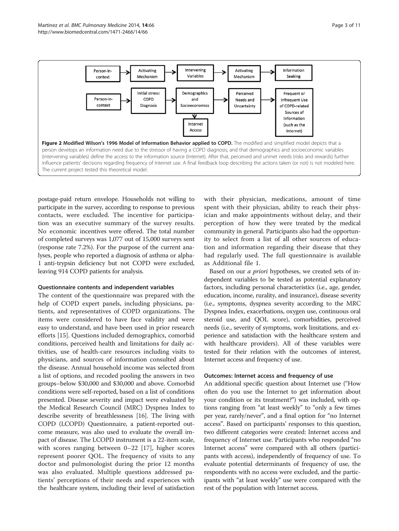<span id="page-2-0"></span>

postage-paid return envelope. Households not willing to participate in the survey, according to response to previous contacts, were excluded. The incentive for participation was an executive summary of the survey results. No economic incentives were offered. The total number of completed surveys was 1,077 out of 15,000 surveys sent (response rate 7.2%). For the purpose of the current analyses, people who reported a diagnosis of asthma or alpha-1 anti-trypsin deficiency but not COPD were excluded, leaving 914 COPD patients for analysis.

#### Questionnaire contents and independent variables

The content of the questionnaire was prepared with the help of COPD expert panels, including physicians, patients, and representatives of COPD organizations. The items were considered to have face validity and were easy to understand, and have been used in prior research efforts [[15\]](#page-9-0). Questions included demographics, comorbid conditions, perceived health and limitations for daily activities, use of health-care resources including visits to physicians, and sources of information consulted about the disease. Annual household income was selected from a list of options, and recoded pooling the answers in two groups–below \$30,000 and \$30,000 and above. Comorbid conditions were self-reported, based on a list of conditions presented. Disease severity and impact were evaluated by the Medical Research Council (MRC) Dyspnea Index to describe severity of breathlessness [\[16](#page-9-0)]. The living with COPD (LCOPD) Questionnaire, a patient-reported outcome measure, was also used to evaluate the overall impact of disease. The LCOPD instrument is a 22-item scale, with scores ranging between 0–22 [[17\]](#page-9-0), higher scores represent poorer QOL. The frequency of visits to any doctor and pulmonologist during the prior 12 months was also evaluated. Multiple questions addressed patients' perceptions of their needs and experiences with the healthcare system, including their level of satisfaction

with their physician, medications, amount of time spent with their physician, ability to reach their physician and make appointments without delay, and their perception of how they were treated by the medical community in general. Participants also had the opportunity to select from a list of all other sources of education and information regarding their disease that they had regularly used. The full questionnaire is available as Additional file [1.](#page-9-0)

Based on our *a priori* hypotheses, we created sets of independent variables to be tested as potential explanatory factors, including personal characteristics (i.e., age, gender, education, income, rurality, and insurance), disease severity (i.e., symptoms, dyspnea severity according to the MRC Dyspnea Index, exacerbations, oxygen use, continuous oral steroid use, and QOL score), comorbidities, perceived needs (i.e., severity of symptoms, work limitations, and experience and satisfaction with the healthcare system and with healthcare providers). All of these variables were tested for their relation with the outcomes of interest, Internet access and frequency of use.

#### Outcomes: Internet access and frequency of use

An additional specific question about Internet use ("How often do you use the Internet to get information about your condition or its treatment?") was included, with options ranging from "at least weekly" to "only a few times per year, rarely/never", and a final option for "no Internet access". Based on participants' responses to this question, two different categories were created: Internet access and frequency of Internet use. Participants who responded "no Internet access" were compared with all others (participants with access), independently of frequency of use. To evaluate potential determinants of frequency of use, the respondents with no access were excluded, and the participants with "at least weekly" use were compared with the rest of the population with Internet access.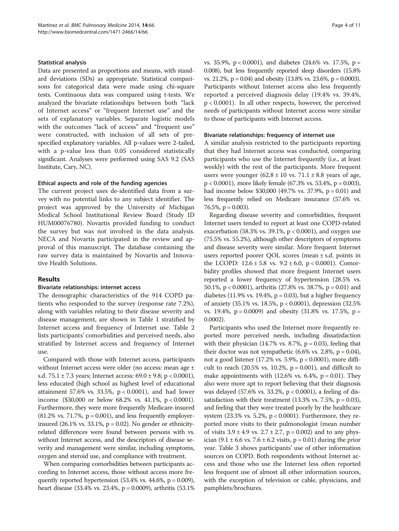#### Statistical analysis

Data are presented as proportions and means, with standard deviations (SDs) as appropriate. Statistical comparisons for categorical data were made using chi-square tests. Continuous data was compared using t-tests. We analyzed the bivariate relationships between both "lack of Internet access" or "frequent Internet use" and the sets of explanatory variables. Separate logistic models with the outcomes "lack of access" and "frequent use" were constructed, with inclusion of all sets of prespecified explanatory variables. All p-values were 2-tailed, with a p-value less than 0.05 considered statistically significant. Analyses were performed using SAS 9.2 (SAS Institute, Cary, NC).

### Ethical aspects and role of the funding agencies

The current project uses de-identified data from a survey with no potential links to any subject identifier. The project was approved by the University of Michigan Medical School Institutional Review Board (Study ID HUM00076780). Novartis provided funding to conduct the survey but was not involved in the data analysis. NECA and Novartis participated in the review and approval of this manuscript. The database containing the raw survey data is maintained by Novartis and Innovative Health Solutions.

# Results

#### Bivariate relationships: internet access

The demographic characteristics of the 914 COPD patients who responded to the survey (response rate 7.2%), along with variables relating to their disease severity and disease management, are shown in Table [1](#page-4-0) stratified by Internet access and frequency of Internet use. Table [2](#page-5-0) lists participants' comorbidities and perceived needs, also stratified by Internet access and frequency of Internet use.

Compared with those with Internet access, participants without Internet access were older (no access: mean age  $\pm$ s.d. 75.1  $\pm$  7.3 years; Internet access: 69.0  $\pm$  9.8; p < 0.0001), less educated (high school as highest level of educational attainment 57.6% vs. 33.5%, p < 0.0001), and had lower income  $(\$30,000$  or below 68.2% vs. 41.1%,  $p < 0.0001$ ). Furthermore, they were more frequently Medicare-insured  $(81.2\% \text{ vs. } 71.7\%, \text{ p} = 0.001)$ , and less frequently employerinsured  $(26.1\% \text{ vs. } 33.1\%, \text{ p} = 0.02)$ . No gender or ethnicityrelated differences were found between persons with vs. without Internet access, and the descriptors of disease severity and management were similar, including symptoms, oxygen and steroid use, and compliance with treatment.

When comparing comorbidities between participants according to Internet access, those without access more frequently reported hypertension  $(53.4\% \text{ vs. } 44.6\%, \text{ p} = 0.009)$ , heart disease (33.4% vs. 23.4%, p = 0.0009), arthritis (53.1% vs. 35.9%, p < 0.0001), and diabetes (24.6% vs. 17.5%, p = 0.008), but less frequently reported sleep disorders (15.8% vs. 21.2%,  $p = 0.04$ ) and obesity (13.8% vs. 23.6%,  $p = 0.0003$ ). Participants without Internet access also less frequently reported a perceived diagnosis delay (19.4% vs. 39.4%, p < 0.0001). In all other respects, however, the perceived needs of participants without Internet access were similar to those of participants with Internet access.

### Bivariate relationships: frequency of internet use

A similar analysis restricted to the participants reporting that they had Internet access was conducted, comparing participants who use the Internet frequently (i.e., at least weekly) with the rest of the participants. More frequent users were younger  $(62.8 \pm 10 \text{ vs. } 71.1 \pm 8.8 \text{ years of age})$ p < 0.0001), more likely female (67.3% vs. 53.4%, p = 0.003), had income below \$30,000 (49.7% vs. 37.9%, p = 0.01) and less frequently relied on Medicare insurance (57.6% vs.  $76.5\%$ , p = 0.003).

Regarding disease severity and comorbidities, frequent Internet users tended to report at least one COPD-related exacerbation  $(58.3\% \text{ vs. } 39.1\%, \text{ p} < 0.0001)$ , and oxygen use (75.5% vs. 55.2%), although other descriptors of symptoms and disease severity were similar. More frequent Internet users reported poorer QOL scores (mean ± s.d. points in the LCOPD:  $12.6 \pm 5.8$  vs.  $9.2 \pm 6.0$ ,  $p < 0.0001$ ). Comorbidity profiles showed that more frequent Internet users reported a lower frequency of hypertension (28.5% vs. 50.1%, p < 0.0001), arthritis (27.8% vs. 38.7%, p = 0.01) and diabetes (11.9% vs. 19.4%,  $p = 0.03$ ), but a higher frequency of anxiety (35.1% vs. 18.5%, p < 0.0001), depression (32.5% vs. 19.4%,  $p = 0.0009$ ) and obesity (31.8% vs. 17.5%,  $p =$ 0.0002).

Participants who used the Internet more frequently reported more perceived needs, including dissatisfaction with their physician (14.7% vs. 8.7%,  $p = 0.03$ ), feeling that their doctor was not sympathetic  $(6.6\% \text{ vs. } 2.8\%, \text{ p} = 0.04)$ , not a good listener (17.2% vs. 5.9%, p < 0.0001), more difficult to reach (20.5% vs. 10.2%,  $p = 0.001$ ), and difficult to make appointments with  $(12.6\% \text{ vs. } 6.4\%, \text{ p} = 0.01)$ . They also were more apt to report believing that their diagnosis was delayed (57.6% vs. 33.2%, p < 0.0001), a feeling of dissatisfaction with their treatment  $(13.3\% \text{ vs. } 7.5\%, \text{ p} = 0.03)$ , and feeling that they were treated poorly by the healthcare system (23.3% vs. 5.2%, p < 0.0001). Furthermore, they reported more visits to their pulmonologist (mean number of visits  $3.9 \pm 4.9$  vs.  $2.7 \pm 2.7$ , p = 0.002) and to any physician  $(9.1 \pm 6.6 \text{ vs. } 7.6 \pm 6.2 \text{ visits, } p = 0.01)$  during the prior year. Table [3](#page-6-0) shows participants' use of other information sources on COPD. Both respondents without Internet access and those who use the Internet less often reported less frequent use of almost all other information sources, with the exception of television or cable, physicians, and pamphlets/brochures.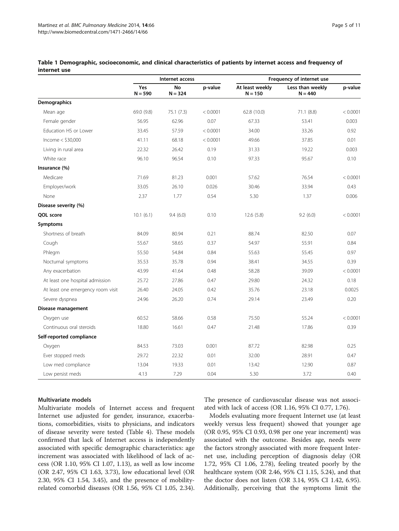|                                   | Internet access  |                 |          |                              | Frequency of internet use     |          |  |  |
|-----------------------------------|------------------|-----------------|----------|------------------------------|-------------------------------|----------|--|--|
|                                   | Yes<br>$N = 590$ | No<br>$N = 324$ | p-value  | At least weekly<br>$N = 150$ | Less than weekly<br>$N = 440$ | p-value  |  |  |
| Demographics                      |                  |                 |          |                              |                               |          |  |  |
| Mean age                          | 69.0 (9.8)       | 75.1(7.3)       | < 0.0001 | 62.8 (10.0)                  | 71.1(8.8)                     | < 0.0001 |  |  |
| Female gender                     | 56.95            | 62.96           | 0.07     | 67.33                        | 53.41                         | 0.003    |  |  |
| Education HS or Lower             | 33.45            | 57.59           | < 0.0001 | 34.00                        | 33.26                         | 0.92     |  |  |
| Income $<$ \$30,000               | 41.11            | 68.18           | < 0.0001 | 49.66                        | 37.85                         | 0.01     |  |  |
| Living in rural area              | 22.32            | 26.42           | 0.19     | 31.33                        | 19.22                         | 0.003    |  |  |
| White race                        | 96.10            | 96.54           | 0.10     | 97.33                        | 95.67                         | 0.10     |  |  |
| Insurance (%)                     |                  |                 |          |                              |                               |          |  |  |
| Medicare                          | 71.69            | 81.23           | 0.001    | 57.62                        | 76.54                         | < 0.0001 |  |  |
| Employer/work                     | 33.05            | 26.10           | 0.026    | 30.46                        | 33.94                         | 0.43     |  |  |
| None                              | 2.37             | 1.77            | 0.54     | 5.30                         | 1.37                          | 0.006    |  |  |
| Disease severity (%)              |                  |                 |          |                              |                               |          |  |  |
| QOL score                         | 10.1(6.1)        | 9.4(6.0)        | 0.10     | 12.6(5.8)                    | 9.2(6.0)                      | < 0.0001 |  |  |
| <b>Symptoms</b>                   |                  |                 |          |                              |                               |          |  |  |
| Shortness of breath               | 84.09            | 80.94           | 0.21     | 88.74                        | 82.50                         | 0.07     |  |  |
| Cough                             | 55.67            | 58.65           | 0.37     | 54.97                        | 55.91                         | 0.84     |  |  |
| Phlegm                            | 55.50            | 54.84           | 0.84     | 55.63                        | 55.45                         | 0.97     |  |  |
| Nocturnal symptoms                | 35.53            | 35.78           | 0.94     | 38.41                        | 34.55                         | 0.39     |  |  |
| Any exacerbation                  | 43.99            | 41.64           | 0.48     | 58.28                        | 39.09                         | < 0.0001 |  |  |
| At least one hospital admission   | 25.72            | 27.86           | 0.47     | 29.80                        | 24.32                         | 0.18     |  |  |
| At least one emergency room visit | 26.40            | 24.05           | 0.42     | 35.76                        | 23.18                         | 0.0025   |  |  |
| Severe dyspnea                    | 24.96            | 26.20           | 0.74     | 29.14                        | 23.49                         | 0.20     |  |  |
| Disease management                |                  |                 |          |                              |                               |          |  |  |
| Oxygen use                        | 60.52            | 58.66           | 0.58     | 75.50                        | 55.24                         | < 0.0001 |  |  |
| Continuous oral steroids          | 18.80            | 16.61           | 0.47     | 21.48                        | 17.86                         | 0.39     |  |  |
| Self-reported compliance          |                  |                 |          |                              |                               |          |  |  |
| Oxygen                            | 84.53            | 73.03           | 0.001    | 87.72                        | 82.98                         | 0.25     |  |  |
| Ever stopped meds                 | 29.72            | 22.32           | 0.01     | 32.00                        | 28.91                         | 0.47     |  |  |
| Low med compliance                | 13.04            | 19.33           | 0.01     | 13.42                        | 12.90                         | 0.87     |  |  |
| Low persist meds                  | 4.13             | 7.29            | 0.04     | 5.30                         | 3.72                          | 0.40     |  |  |

<span id="page-4-0"></span>Table 1 Demographic, socioeconomic, and clinical characteristics of patients by internet access and frequency of internet use

#### Multivariate models

Multivariate models of Internet access and frequent Internet use adjusted for gender, insurance, exacerbations, comorbidities, visits to physicians, and indicators of disease severity were tested (Table [4](#page-6-0)). These models confirmed that lack of Internet access is independently associated with specific demographic characteristics: age increment was associated with likelihood of lack of access (OR 1.10, 95% CI 1.07, 1.13), as well as low income (OR 2.47, 95% CI 1.63, 3.73), low educational level (OR 2.30, 95% CI 1.54, 3.45), and the presence of mobilityrelated comorbid diseases (OR 1.56, 95% CI 1.05, 2.34). The presence of cardiovascular disease was not associated with lack of access (OR 1.16, 95% CI 0.77, 1.76).

Models evaluating more frequent Internet use (at least weekly versus less frequent) showed that younger age (OR 0.95, 95% CI 0.93, 0.98 per one year increment) was associated with the outcome. Besides age, needs were the factors strongly associated with more frequent Internet use, including perception of diagnosis delay (OR 1.72, 95% CI 1.06, 2.78), feeling treated poorly by the healthcare system (OR 2.46, 95% CI 1.15, 5.24), and that the doctor does not listen (OR 3.14, 95% CI 1.42, 6.95). Additionally, perceiving that the symptoms limit the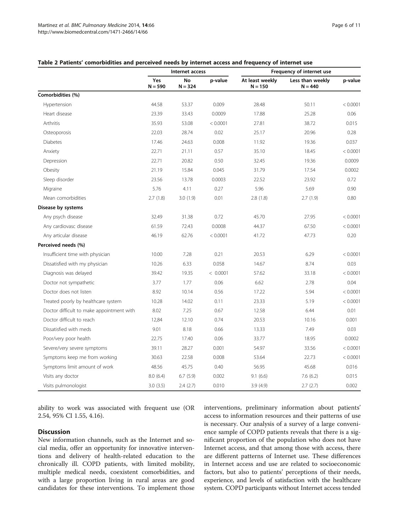|                                           | Internet access  |                 |          | Frequency of internet use    |                               |          |
|-------------------------------------------|------------------|-----------------|----------|------------------------------|-------------------------------|----------|
|                                           | Yes<br>$N = 590$ | No<br>$N = 324$ | p-value  | At least weekly<br>$N = 150$ | Less than weekly<br>$N = 440$ | p-value  |
| Comorbidities (%)                         |                  |                 |          |                              |                               |          |
| Hypertension                              | 44.58            | 53.37           | 0.009    | 28.48                        | 50.11                         | < 0.0001 |
| Heart disease                             | 23.39            | 33.43           | 0.0009   | 17.88                        | 25.28                         | 0.06     |
| <b>Arthritis</b>                          | 35.93            | 53.08           | < 0.0001 | 27.81                        | 38.72                         | 0.015    |
| Osteoporosis                              | 22.03            | 28.74           | 0.02     | 25.17                        | 20.96                         | 0.28     |
| <b>Diabetes</b>                           | 17.46            | 24.63           | 0.008    | 11.92                        | 19.36                         | 0.037    |
| Anxiety                                   | 22.71            | 21.11           | 0.57     | 35.10                        | 18.45                         | < 0.0001 |
| Depression                                | 22.71            | 20.82           | 0.50     | 32.45                        | 19.36                         | 0.0009   |
| Obesity                                   | 21.19            | 15.84           | 0.045    | 31.79                        | 17.54                         | 0.0002   |
| Sleep disorder                            | 23.56            | 13.78           | 0.0003   | 22.52                        | 23.92                         | 0.72     |
| Migraine                                  | 5.76             | 4.11            | 0.27     | 5.96                         | 5.69                          | 0.90     |
| Mean comorbidities                        | 2.7(1.8)         | 3.0 (1.9)       | 0.01     | 2.8(1.8)                     | 2.7(1.9)                      | 0.80     |
| Disease by systems                        |                  |                 |          |                              |                               |          |
| Any psych disease                         | 32.49            | 31.38           | 0.72     | 45.70                        | 27.95                         | < 0.0001 |
| Any cardiovasc disease                    | 61.59            | 72.43           | 0.0008   | 44.37                        | 67.50                         | < 0.0001 |
| Any articular disease                     | 46.19            | 62.76           | < 0.0001 | 41.72                        | 47.73                         | 0.20     |
| Perceived needs (%)                       |                  |                 |          |                              |                               |          |
| Insufficient time with physician          | 10.00            | 7.28            | 0.21     | 20.53                        | 6.29                          | < 0.0001 |
| Dissatisfied with my physician            | 10.26            | 6.33            | 0.058    | 14.67                        | 8.74                          | 0.03     |
| Diagnosis was delayed                     | 39.42            | 19.35           | < 0.0001 | 57.62                        | 33.18                         | < 0.0001 |
| Doctor not sympathetic                    | 3.77             | 1.77            | 0.06     | 6.62                         | 2.78                          | 0.04     |
| Doctor does not listen                    | 8.92             | 10.14           | 0.56     | 17.22                        | 5.94                          | < 0.0001 |
| Treated poorly by healthcare system       | 10.28            | 14.02           | 0.11     | 23.33                        | 5.19                          | < 0.0001 |
| Doctor difficult to make appointment with | 8.02             | 7.25            | 0.67     | 12.58                        | 6.44                          | 0.01     |
| Doctor difficult to reach                 | 12,84            | 12.10           | 0.74     | 20.53                        | 10.16                         | 0.001    |
| Dissatisfied with meds                    | 9.01             | 8.18            | 0.66     | 13.33                        | 7.49                          | 0.03     |
| Poor/very poor health                     | 22.75            | 17.40           | 0.06     | 33.77                        | 18.95                         | 0.0002   |
| Severe/very severe symptoms               | 39.11            | 28.27           | 0.001    | 54.97                        | 33.56                         | < 0.0001 |
| Symptoms keep me from working             | 30.63            | 22.58           | 0.008    | 53.64                        | 22.73                         | < 0.0001 |
| Symptoms limit amount of work             | 48.56            | 45.75           | 0.40     | 56.95                        | 45.68                         | 0.016    |
| Visits any doctor                         | 8.0(6.4)         | 6.7(5.9)        | 0.002    | 9.1(6.6)                     | 7.6(6.2)                      | 0.015    |

Visits pulmonologist 3.0 (3.5) 2.4 (2.7) 0.010 3.9 (4.9) 2.7 (2.7) 0.002

#### <span id="page-5-0"></span>Table 2 Patients' comorbidities and perceived needs by internet access and frequency of internet use

ability to work was associated with frequent use (OR 2.54, 95% CI 1.55, 4.16).

#### **Discussion**

New information channels, such as the Internet and social media, offer an opportunity for innovative interventions and delivery of health-related education to the chronically ill. COPD patients, with limited mobility, multiple medical needs, coexistent comorbidities, and with a large proportion living in rural areas are good candidates for these interventions. To implement those interventions, preliminary information about patients' access to information resources and their patterns of use is necessary. Our analysis of a survey of a large convenience sample of COPD patients reveals that there is a significant proportion of the population who does not have Internet access, and that among those with access, there are different patterns of Internet use. These differences in Internet access and use are related to socioeconomic factors, but also to patients' perceptions of their needs, experience, and levels of satisfaction with the healthcare system. COPD participants without Internet access tended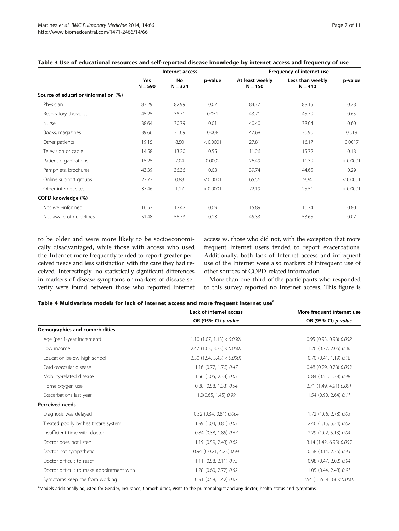|                                     | Internet access         |                 |          | Frequency of internet use    |                               |          |
|-------------------------------------|-------------------------|-----------------|----------|------------------------------|-------------------------------|----------|
|                                     | <b>Yes</b><br>$N = 590$ | No<br>$N = 324$ | p-value  | At least weekly<br>$N = 150$ | Less than weekly<br>$N = 440$ | p-value  |
| Source of education/information (%) |                         |                 |          |                              |                               |          |
| Physician                           | 87.29                   | 82.99           | 0.07     | 84.77                        | 88.15                         | 0.28     |
| Respiratory therapist               | 45.25                   | 38.71           | 0.051    | 43.71                        | 45.79                         | 0.65     |
| Nurse                               | 38.64                   | 30.79           | 0.01     | 40.40                        | 38.04                         | 0.60     |
| Books, magazines                    | 39.66                   | 31.09           | 0.008    | 47.68                        | 36.90                         | 0.019    |
| Other patients                      | 19.15                   | 8.50            | < 0.0001 | 27.81                        | 16.17                         | 0.0017   |
| Television or cable                 | 14.58                   | 13.20           | 0.55     | 11.26                        | 15.72                         | 0.18     |
| Patient organizations               | 15.25                   | 7.04            | 0.0002   | 26.49                        | 11.39                         | < 0.0001 |
| Pamphlets, brochures                | 43.39                   | 36.36           | 0.03     | 39.74                        | 44.65                         | 0.29     |
| Online support groups               | 23.73                   | 0.88            | < 0.0001 | 65.56                        | 9.34                          | < 0.0001 |
| Other internet sites                | 37.46                   | 1.17            | < 0.0001 | 72.19                        | 25.51                         | < 0.0001 |
| COPD knowledge (%)                  |                         |                 |          |                              |                               |          |
| Not well-informed                   | 16.52                   | 12.42           | 0.09     | 15.89                        | 16.74                         | 0.80     |
| Not aware of guidelines             | 51.48                   | 56.73           | 0.13     | 45.33                        | 53.65                         | 0.07     |

# <span id="page-6-0"></span>Table 3 Use of educational resources and self-reported disease knowledge by internet access and frequency of use

to be older and were more likely to be socioeconomically disadvantaged, while those with access who used the Internet more frequently tended to report greater perceived needs and less satisfaction with the care they had received. Interestingly, no statistically significant differences in markers of disease symptoms or markers of disease severity were found between those who reported Internet access vs. those who did not, with the exception that more frequent Internet users tended to report exacerbations. Additionally, both lack of Internet access and infrequent use of the Internet were also markers of infrequent use of other sources of COPD-related information.

More than one-third of the participants who responded to this survey reported no Internet access. This figure is

#### Table 4 Multivariate models for lack of internet access and more frequent internet use<sup>a</sup>

|                                           | Lack of internet access      | More frequent internet use   |
|-------------------------------------------|------------------------------|------------------------------|
|                                           | OR (95% CI) p-value          | OR (95% CI) p-value          |
| Demographics and comorbidities            |                              |                              |
| Age (per 1-year increment)                | $1.10$ (1.07, 1.13) < 0.0001 | 0.95 (0.93, 0.98) 0.002      |
| Low income                                | $2.47$ (1.63, 3.73) < 0.0001 | 1.26 (0.77, 2.06) 0.36       |
| Education below high school               | $2.30$ (1.54, 3.45) < 0.0001 | $0.70$ $(0.41, 1.19)$ $0.18$ |
| Cardiovascular disease                    | 1.16 (0.77, 1.76) 0.47       | 0.48 (0.29, 0.78) 0.003      |
| Mobility-related disease                  | 1.56 (1.05, 2.34) 0.03       | $0.84$ $(0.51, 1.38)$ $0.48$ |
| Home oxygen use                           | 0.88 (0.58, 1.33) 0.54       | 2.71 (1.49, 4.91) 0.001      |
| Exacerbations last year                   | 1.0(0.65, 1.45) 0.99         | 1.54 (0.90, 2.64) 0.11       |
| <b>Perceived needs</b>                    |                              |                              |
| Diagnosis was delayed                     | 0.52 (0.34, 0.81) 0.004      | 1.72 (1.06, 2.78) 0.03       |
| Treated poorly by healthcare system       | 1.99 (1.04, 3.81) 0.03       | 2.46 (1.15, 5.24) 0.02       |
| Insufficient time with doctor             | 0.84 (0.38, 1.85) 0.67       | 2.29 (1.02, 5.13) 0.04       |
| Doctor does not listen                    | 1.19 (0.59, 2.43) 0.62       | 3.14 (1.42, 6.95) 0.005      |
| Doctor not sympathetic                    | 0.94 (0.0.21, 4.23) 0.94     | $0.58$ (0.14, 2.36) $0.45$   |
| Doctor difficult to reach                 | 1.11 (0.58, 2.11) 0.75       | 0.98 (0.47, 2.02) 0.94       |
| Doctor difficult to make appointment with | 1.28 (0.60, 2.72) 0.52       | 1.05 (0.44, 2.48) 0.91       |
| Symptoms keep me from working             | 0.91 (0.58, 1.42) 0.67       | $2.54$ (1.55, 4.16) < 0.0001 |

a<br>Models additionally adjusted for Gender, Insurance, Comorbidities, Visits to the pulmonologist and any doctor, health status and symptoms.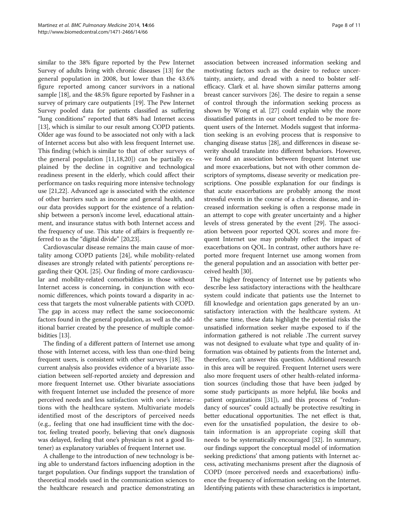similar to the 38% figure reported by the Pew Internet Survey of adults living with chronic diseases [\[13\]](#page-9-0) for the general population in 2008, but lower than the 43.6% figure reported among cancer survivors in a national sample [\[18](#page-9-0)], and the 48.5% figure reported by Fashner in a survey of primary care outpatients [[19](#page-9-0)]. The Pew Internet Survey pooled data for patients classified as suffering "lung conditions" reported that 68% had Internet access [[13](#page-9-0)], which is similar to our result among COPD patients. Older age was found to be associated not only with a lack of Internet access but also with less frequent Internet use. This finding (which is similar to that of other surveys of the general population [\[11](#page-9-0),[18,20\]](#page-9-0)) can be partially explained by the decline in cognitive and technological readiness present in the elderly, which could affect their performance on tasks requiring more intensive technology use [\[21,22](#page-9-0)]. Advanced age is associated with the existence of other barriers such as income and general health, and our data provides support for the existence of a relationship between a person's income level, educational attainment, and insurance status with both Internet access and the frequency of use. This state of affairs is frequently referred to as the "digital divide" [[20,23\]](#page-9-0).

Cardiovascular disease remains the main cause of mortality among COPD patients [[24](#page-9-0)], while mobility-related diseases are strongly related with patients' perceptions regarding their QOL [[25](#page-9-0)]. Our finding of more cardiovascular and mobility-related comorbidities in those without Internet access is concerning, in conjunction with economic differences, which points toward a disparity in access that targets the most vulnerable patients with COPD. The gap in access may reflect the same socioeconomic factors found in the general population, as well as the additional barrier created by the presence of multiple comorbidities [\[13\]](#page-9-0).

The finding of a different pattern of Internet use among those with Internet access, with less than one-third being frequent users, is consistent with other surveys [\[18\]](#page-9-0). The current analysis also provides evidence of a bivariate association between self-reported anxiety and depression and more frequent Internet use. Other bivariate associations with frequent Internet use included the presence of more perceived needs and less satisfaction with one's interactions with the healthcare system. Multivariate models identified most of the descriptors of perceived needs (e.g., feeling that one had insufficient time with the doctor, feeling treated poorly, believing that one's diagnosis was delayed, feeling that one's physician is not a good listener) as explanatory variables of frequent Internet use.

A challenge to the introduction of new technology is being able to understand factors influencing adoption in the target population. Our findings support the translation of theoretical models used in the communication sciences to the healthcare research and practice demonstrating an

association between increased information seeking and motivating factors such as the desire to reduce uncertainty, anxiety, and dread with a need to bolster selfefficacy. Clark et al. have shown similar patterns among breast cancer survivors [[26\]](#page-10-0). The desire to regain a sense of control through the information seeking process as shown by Wong et al. [[27](#page-10-0)] could explain why the more dissatisfied patients in our cohort tended to be more frequent users of the Internet. Models suggest that information seeking is an evolving process that is responsive to changing disease status [\[28\]](#page-10-0), and differences in disease severity should translate into different behaviors. However, we found an association between frequent Internet use and more exacerbations, but not with other common descriptors of symptoms, disease severity or medication prescriptions. One possible explanation for our findings is that acute exacerbations are probably among the most stressful events in the course of a chronic disease, and increased information seeking is often a response made in an attempt to cope with greater uncertainty and a higher levels of stress generated by the event [\[29\]](#page-10-0). The association between poor reported QOL scores and more frequent Internet use may probably reflect the impact of exacerbations on QOL. In contrast, other authors have reported more frequent Internet use among women from the general population and an association with better perceived health [[30](#page-10-0)].

The higher frequency of Internet use by patients who describe less satisfactory interactions with the healthcare system could indicate that patients use the Internet to fill knowledge and orientation gaps generated by an unsatisfactory interaction with the healthcare system. At the same time, these data highlight the potential risks the unsatisfied information seeker maybe exposed to if the information gathered is not reliable .The current survey was not designed to evaluate what type and quality of information was obtained by patients from the Internet and, therefore, can't answer this question. Additional research in this area will be required. Frequent Internet users were also more frequent users of other health-related information sources (including those that have been judged by some study participants as more helpful, like books and patient organizations [\[31](#page-10-0)]), and this process of "redundancy of sources" could actually be protective resulting in better educational opportunities. The net effect is that, even for the unsatisfied population, the desire to obtain information is an appropriate coping skill that needs to be systematically encouraged [[32\]](#page-10-0). In summary, our findings support the conceptual model of information seeking predictions' that among patients with Internet access, activating mechanisms present after the diagnosis of COPD (more perceived needs and exacerbations) influence the frequency of information seeking on the Internet. Identifying patients with these characteristics is important,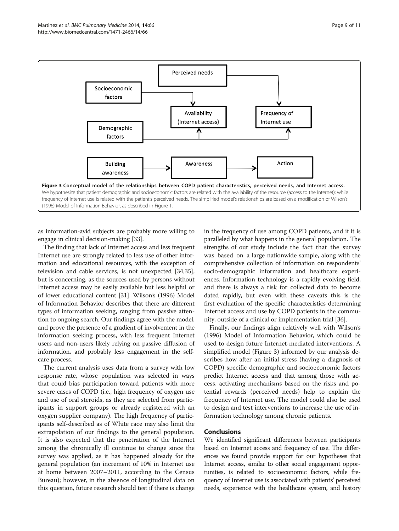

as information-avid subjects are probably more willing to engage in clinical decision-making [[33](#page-10-0)].

The finding that lack of Internet access and less frequent Internet use are strongly related to less use of other information and educational resources, with the exception of television and cable services, is not unexpected [\[34,35](#page-10-0)], but is concerning, as the sources used by persons without Internet access may be easily available but less helpful or of lower educational content [\[31\]](#page-10-0). Wilson's (1996) Model of Information Behavior describes that there are different types of information seeking, ranging from passive attention to ongoing search. Our findings agree with the model, and prove the presence of a gradient of involvement in the information seeking process, with less frequent Internet users and non-users likely relying on passive diffusion of information, and probably less engagement in the selfcare process.

The current analysis uses data from a survey with low response rate, whose population was selected in ways that could bias participation toward patients with more severe cases of COPD (i.e., high frequency of oxygen use and use of oral steroids, as they are selected from participants in support groups or already registered with an oxygen supplier company). The high frequency of participants self-described as of White race may also limit the extrapolation of our findings to the general population. It is also expected that the penetration of the Internet among the chronically ill continue to change since the survey was applied, as it has happened already for the general population (an increment of 10% in Internet use at home between 2007–2011, according to the Census Bureau); however, in the absence of longitudinal data on this question, future research should test if there is change in the frequency of use among COPD patients, and if it is paralleled by what happens in the general population. The strengths of our study include the fact that the survey was based on a large nationwide sample, along with the comprehensive collection of information on respondents' socio-demographic information and healthcare experiences. Information technology is a rapidly evolving field, and there is always a risk for collected data to become dated rapidly, but even with these caveats this is the first evaluation of the specific characteristics determining Internet access and use by COPD patients in the community, outside of a clinical or implementation trial [\[36](#page-10-0)].

Finally, our findings align relatively well with Wilson's (1996) Model of Information Behavior, which could be used to design future Internet-mediated interventions. A simplified model (Figure 3) informed by our analysis describes how after an initial stress (having a diagnosis of COPD) specific demographic and socioeconomic factors predict Internet access and that among those with access, activating mechanisms based on the risks and potential rewards (perceived needs) help to explain the frequency of Internet use. The model could also be used to design and test interventions to increase the use of information technology among chronic patients.

# Conclusions

We identified significant differences between participants based on Internet access and frequency of use. The differences we found provide support for our hypotheses that Internet access, similar to other social engagement opportunities, is related to socioeconomic factors, while frequency of Internet use is associated with patients' perceived needs, experience with the healthcare system, and history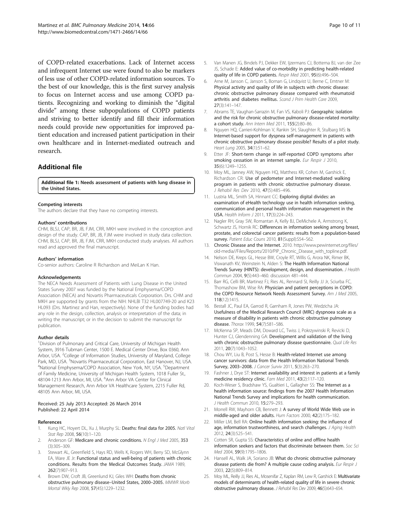<span id="page-9-0"></span>of COPD-related exacerbations. Lack of Internet access and infrequent Internet use were found to also be markers of less use of other COPD-related information sources. To the best of our knowledge, this is the first survey analysis to focus on Internet access and use among COPD patients. Recognizing and working to diminish the "digital divide" among these subpopulations of COPD patients and striving to better identify and fill their information needs could provide new opportunities for improved patient education and increased patient participation in their own healthcare and in Internet-mediated outreach and research.

# Additional file

[Additional file 1:](http://www.biomedcentral.com/content/supplementary/1471-2466-14-66-S1.pdf) Needs assessment of patients with lung disease in the United States.

#### Competing interests

The authors declare that they have no competing interests.

#### Authors' contributions

CHM, BLSJ, CAP, BR, JB, FJM, CRR, MKH were involved in the conception and design of the study. CAP, BR, JB, FJM were involved in study data collection. CHM, BLSJ, CAP, BR, JB, FJM, CRR, MKH conducted study analyses. All authors read and approved the final manuscript.

#### Authors' information

Co-senior authors: Caroline R Richardson and MeiLan K Han.

#### Acknowledgements

The NECA Needs Assessment of Patients with Lung Disease in the United States Survey 2007 was funded by the National Emphysema/COPD Association (NECA) and Novartis Pharmaceuticals Corporation. Drs. CHM and MKH are supported by grants from the NIH: NHLBI T32 HL007749-20 and K23 HL093 (Drs. Martinez and Han, respectively). None of the funding bodies had any role in the design, collection, analysis or interpretation of the data; in writing the manuscript; or in the decision to submit the manuscript for publication.

#### Author details

<sup>1</sup> Division of Pulmonary and Critical Care, University of Michigan Health System, 3916 Tubman Center, 1500 E. Medical Center Drive, Box 0360, Ann Arbor, USA. <sup>2</sup> College of Information Studies, University of Maryland, College Park, MD, USA. <sup>3</sup>Novartis Pharmaceutical Corporation, East Hanover, NJ, USA.<br><sup>4</sup>National Emphysema/COPD Association, New York, NY, USA. <sup>5</sup>Department National Emphysema/COPD Association, New York, NY, USA.<sup>5</sup>Department of Family Medicine, University of Michigan Health System, 1018 Fuller St., 48104-1213 Ann Arbor, MI, USA. <sup>6</sup>Ann Arbor VA Center for Clinical Management Research, Ann Arbor VA Healthcare System, 2215 Fuller Rd, 48105 Ann Arbor, MI, USA.

#### Received: 25 July 2013 Accepted: 26 March 2014 Published: 22 April 2014

#### References

- 1. Kung HC, Hoyert DL, Xu J, Murphy SL: Deaths: final data for 2005. Natl Vital Stat Rep 2008, 56(10):1–120.
- Anderson GF: Medicare and chronic conditions. N Engl J Med 2005, 353 (3):305–309.
- Stewart AL, Greenfield S, Hays RD, Wells K, Rogers WH, Berry SD, McGlynn EA, Ware JE Jr: Functional status and well-being of patients with chronic conditions. Results from the Medical Outcomes Study. JAMA 1989, 262(7):907–913.
- 4. Brown DW, Croft JB, Greenlund KJ, Giles WH: Deaths from chronic obstructive pulmonary disease–United States, 2000–2005. MMWR Morb Mortal Wkly Rep 2008, 57(45):1229–1232.
- 5. Van Manen JG, Bindels PJ, Dekker EW, Ijzermans CJ, Bottema BJ, van der Zee JS, Schade E: Added value of co-morbidity in predicting health-related quality of life in COPD patients. Respir Med 2001, 95(6):496–504.
- Arne M, Janson C, Janson S, Boman G, Lindqvist U, Berne C, Emtner M: Physical activity and quality of life in subjects with chronic disease: chronic obstructive pulmonary disease compared with rheumatoid arthritis and diabetes mellitus. Scand J Prim Health Care 2009, 27(3):141–147.
- 7. Abrams TE, Vaughan-Sarrazin M, Fan VS, Kaboli PJ: Geographic isolation and the risk for chronic obstructive pulmonary disease-related mortality: a cohort study. Ann Intern Med 2011, 155(2):80–86.
- 8. Nguyen HQ, Carrieri-Kohlman V, Rankin SH, Slaughter R. Stulbarg MS: Is Internet-based support for dyspnea self-management in patients with chronic obstructive pulmonary disease possible? Results of a pilot study. Heart Lung 2005, 34(1):51–62.
- 9. Etter JF: Short-term change in self-reported COPD symptoms after smoking cessation in an internet sample. Eur Respir J 2010, 35(6):1249–1255.
- 10. Moy ML, Janney AW, Nguyen HQ, Matthess KR, Cohen M, Garshick E, Richardson CR: Use of pedometer and Internet-mediated walking program in patients with chronic obstructive pulmonary disease. J Rehabil Res Dev 2010, 47(5):485–496.
- 11. Lustria ML, Smith SA, Hinnant CC: Exploring digital divides: an examination of eHealth technology use in health information seeking, communication and personal health information management in the USA. Health Inform J 2011, 17(3):224–243.
- 12. Nagler RH, Gray SW, Romantan A, Kelly BJ, DeMichele A, Armstrong K, Schwartz JS, Hornik RC: Differences in information seeking among breast, prostate, and colorectal cancer patients: results from a population-based survey. Patient Educ Couns 2010, 81(Suppl):S54-S62.
- 13. Chronic Disease and the Internet. 2010. [http://www.pewinternet.org/files/](http://www.pewinternet.org/files/old-media//Files/Reports/2010/PIP_Chronic_Disease_with_topline.pdf) [old-media//Files/Reports/2010/PIP\\_Chronic\\_Disease\\_with\\_topline.pdf.](http://www.pewinternet.org/files/old-media//Files/Reports/2010/PIP_Chronic_Disease_with_topline.pdf)
- 14. Nelson DE, Kreps GL, Hesse BW, Croyle RT, Willis G, Arora NK, Rimer BK, Viswanath KV, Weinstein N, Alden S: The Health Information National Trends Survey (HINTS): development, design, and dissemination. J Health Commun 2004, 9(5):443–460. discussion 481–444.
- 15. Barr RG, Celli BR, Martinez FJ, Ries AL, Rennard SI, Reilly JJ Jr, Sciurba FC, Thomashow BM, Wise RA: Physician and patient perceptions in COPD: the COPD Resource Network Needs Assessment Survey. Am J Med 2005, 118(12):1415.
- 16. Bestall JC, Paul EA, Garrod R, Garnham R, Jones PW, Wedzicha JA: Usefulness of the Medical Research Council (MRC) dyspnoea scale as a measure of disability in patients with chronic obstructive pulmonary disease. Thorax 1999, 54(7):581–586.
- 17. McKenna SP, Meads DM, Doward LC, Twiss J, Pokrzywinski R, Revicki D, Hunter CJ, Glendenning GA: Development and validation of the living with chronic obstructive pulmonary disease questionnaire. Qual Life Res 2011, 20(7):1043–1052.
- 18. Chou WY, Liu B, Post S, Hesse B: Health-related Internet use among cancer survivors: data from the Health Information National Trends Survey, 2003–2008. J Cancer Surviv 2011, 5(3):263–270.
- 19. Fashner J, Drye ST: Internet availability and interest in patients at a family medicine residency clinic. Fam Med 2011, 43(2):117–120.
- 20. Koch-Weser S, Bradshaw YS, Gualtieri L, Gallagher SS: The Internet as a health information source: findings from the 2007 Health Information National Trends Survey and implications for health communication. J Health Commun 2010, 15:279–293.
- 21. Morrell RW, Mayhorn CB, Bennett J: A survey of World Wide Web use in middle-aged and older adults. Hum Factors 2000, 42(2):175–182.
- 22. Miller LM, Bell RA: Online health information seeking: the influence of age, information trustworthiness, and search challenges. J Aging Health 2012, 24(3):525–541.
- 23. Cotten SR, Gupta SS: Characteristics of online and offline health information seekers and factors that discriminate between them. Soc Sci Med 2004, 59(9):1795–1806.
- 24. Hansell AL, Walk JA, Soriano JB: What do chronic obstructive pulmonary disease patients die from? A multiple cause coding analysis. Eur Respir J 2003, 22(5):809–814.
- 25. Moy ML, Reilly JJ, Ries AL, Mosenifar Z, Kaplan RM, Lew R, Garshick E: Multivariate models of determinants of health-related quality of life in severe chronic obstructive pulmonary disease. J Rehabil Res Dev 2009, 46(5):643–654.